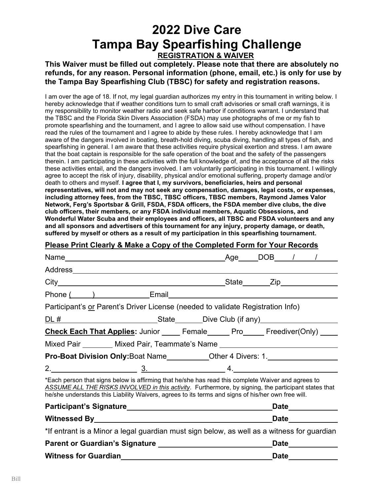### **2022 Dive Care Tampa Bay Spearfishing Challenge REGISTRATION & WAIVER**

**This Waiver must be filled out completely. Please note that there are absolutely no refunds, for any reason. Personal information (phone, email, etc.) is only for use by the Tampa Bay Spearfishing Club (TBSC) for safety and registration reasons.**

I am over the age of 18. If not, my legal guardian authorizes my entry in this tournament in writing below. I hereby acknowledge that if weather conditions turn to small craft advisories or small craft warnings, it is my responsibility to monitor weather radio and seek safe harbor if conditions warrant. I understand that the TBSC and the Florida Skin Divers Association (FSDA) may use photographs of me or my fish to promote spearfishing and the tournament, and I agree to allow said use without compensation. I have read the rules of the tournament and I agree to abide by these rules. I hereby acknowledge that I am aware of the dangers involved in boating, breath-hold diving, scuba diving, handling all types of fish, and spearfishing in general. I am aware that these activities require physical exertion and stress. I am aware that the boat captain is responsible for the safe operation of the boat and the safety of the passengers therein. I am participating in these activities with the full knowledge of, and the acceptance of all the risks these activities entail, and the dangers involved. I am voluntarily participating in this tournament. I willingly agree to accept the risk of injury, disability, physical and/or emotional suffering, property damage and/or death to others and myself. **I agree that I, my survivors, beneficiaries, heirs and personal representatives, will not and may not seek any compensation, damages, legal costs, or expenses, including attorney fees, from the TBSC, TBSC officers, TBSC members, Raymond James Valor Network, Ferg's Sportsbar & Grill, FSDA, FSDA officers, the FSDA member dive clubs, the dive club officers, their members, or any FSDA individual members, Aquatic Obsessions, and Wonderful Water Scuba and their employees and officers, all TBSC and FSDA volunteers and any and all sponsors and advertisers of this tournament for any injury, property damage, or death, suffered by myself or others as a result of my participation in this spearfishing tournament.** 

#### **Please Print Clearly & Make a Copy of the Completed Form for Your Records**

|                                                                                                                                                                                                                                                                                                                  | Phone ( ) Email Email Email Contract Contract Contract Contract Contract Contract Contract Contract Contract Contract Contract Contract Contract Contract Contract Contract Contract Contract Contract Contract Contract Contr |  |  |
|------------------------------------------------------------------------------------------------------------------------------------------------------------------------------------------------------------------------------------------------------------------------------------------------------------------|--------------------------------------------------------------------------------------------------------------------------------------------------------------------------------------------------------------------------------|--|--|
| Participant's or Parent's Driver License (needed to validate Registration Info)                                                                                                                                                                                                                                  |                                                                                                                                                                                                                                |  |  |
|                                                                                                                                                                                                                                                                                                                  |                                                                                                                                                                                                                                |  |  |
| <b>Check Each That Applies:</b> Junior ______ Female ______ Pro______ Freediver(Only) _____                                                                                                                                                                                                                      |                                                                                                                                                                                                                                |  |  |
|                                                                                                                                                                                                                                                                                                                  | Mixed Pair ________ Mixed Pair, Teammate's Name ________________________________                                                                                                                                               |  |  |
|                                                                                                                                                                                                                                                                                                                  | Pro-Boat Division Only: Boat Name_____________Other 4 Divers: 1.________________                                                                                                                                               |  |  |
|                                                                                                                                                                                                                                                                                                                  | $2.$ $4.$                                                                                                                                                                                                                      |  |  |
| *Each person that signs below is affirming that he/she has read this complete Waiver and agrees to<br>ASSUME ALL THE RISKS INVOLVED in this activity. Furthermore, by signing, the participant states that<br>he/she understands this Liability Waivers, agrees to its terms and signs of his/her own free will. |                                                                                                                                                                                                                                |  |  |
|                                                                                                                                                                                                                                                                                                                  | Date_____________                                                                                                                                                                                                              |  |  |
|                                                                                                                                                                                                                                                                                                                  | <b>Date Date</b>                                                                                                                                                                                                               |  |  |
| *If entrant is a Minor a legal guardian must sign below, as well as a witness for guardian                                                                                                                                                                                                                       |                                                                                                                                                                                                                                |  |  |
|                                                                                                                                                                                                                                                                                                                  | Date___________                                                                                                                                                                                                                |  |  |
|                                                                                                                                                                                                                                                                                                                  | Date_____________                                                                                                                                                                                                              |  |  |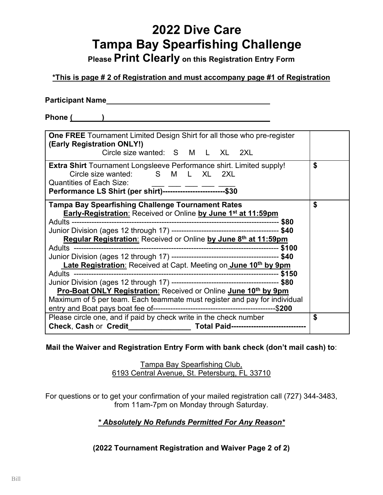**Please Print Clearly on this Registration Entry Form**

### **\*This is page # 2 of Registration and must accompany page #1 of Registration**

Phone ( ) **by a set of the set of the set of the set of the set of the set of the set of the set of the set of the set of the set of the set of the set of the set of the set of the set of the set of the set of the set of t** 

| <b>One FREE</b> Tournament Limited Design Shirt for all those who pre-register<br>(Early Registration ONLY!)                                                                                                                                                     |    |  |
|------------------------------------------------------------------------------------------------------------------------------------------------------------------------------------------------------------------------------------------------------------------|----|--|
| Circle size wanted: S M L XL 2XL                                                                                                                                                                                                                                 |    |  |
| <b>Extra Shirt</b> Tournament Longsleeve Performance shirt. Limited supply!<br>Circle size wanted: S M L XL 2XL<br><b>Quantities of Each Size:</b><br>Performance LS Shirt (per shirt)-----------------------------\$30                                          | \$ |  |
| <b>Tampa Bay Spearfishing Challenge Tournament Rates</b><br>Early-Registration: Received or Online by June 1st at 11:59pm<br>Regular Registration: Received or Online by June 8th at 11:59pm<br>Late Registration: Received at Capt. Meeting on June 10th by 9pm | \$ |  |
| <b>Pro-Boat ONLY Registration: Received or Online June 10th by 9pm</b><br>Maximum of 5 per team. Each teammate must register and pay for individual                                                                                                              |    |  |
| Please circle one, and if paid by check write in the check number<br>Check, Cash or Credit _____________________ Total Paid---------------------------------                                                                                                     | \$ |  |

**Mail the Waiver and Registration Entry Form with bank check (don't mail cash) to**:

Tampa Bay Spearfishing Club, 6193 Central Avenue, St. Petersburg, FL 33710

For questions or to get your confirmation of your mailed registration call (727) 344-3483, from 11am-7pm on Monday through Saturday.

### *\* Absolutely No Refunds Permitted For Any Reason\**

**(2022 Tournament Registration and Waiver Page 2 of 2)**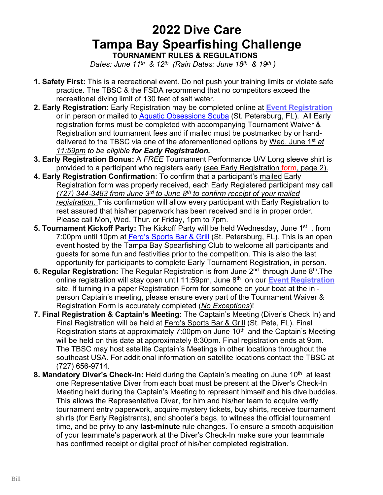### **2022 Dive Care Tampa Bay Spearfishing Challenge TOURNAMENT RULES & REGULATIONS**

*Dates: June 11th & 12th (Rain Dates: June 18th & 19th )* 

- **1. Safety First:** This is a recreational event. Do not push your training limits or violate safe practice. The TBSC & the FSDA recommend that no competitors exceed the recreational diving limit of 130 feet of salt water.
- **2. Early Registration:** Early Registration may be completed online at **[Event Registration](https://www.eventbrite.com/e/249899384787)** or in person or mailed to **[Aquatic Obsessions Scuba](http://www.aodive.com/)** (St. Petersburg, FL). All Early registration forms must be completed with accompanying Tournament Waiver & Registration and tournament fees and if mailed must be postmarked by or handdelivered to the TBSC via one of the aforementioned options by Wed. June 1st *at 11:59pm to be eligible for Early Registration.*
- **3. Early Registration Bonus:** A *FREE* Tournament Performance U/V Long sleeve shirt is provided to a participant who registers early (see Early Registration form, page 2).
- **4. Early Registration Confirmation**: To confirm that a participant's mailed Early Registration form was properly received, each Early Registered participant may call *(727) 344-3483 from June 3rd to June 8th to confirm receipt of your mailed registration.* This confirmation will allow every participant with Early Registration to rest assured that his/her paperwork has been received and is in proper order. Please call Mon, Wed. Thur. or Friday, 1pm to 7pm.
- **5. Tournament Kickoff Party:** The Kickoff Party will be held Wednesday, June 1st , from 7:00pm until 10pm at [Ferg's Sports Bar & Grill](http://www.fergssportsbar.com/) (St. Petersburg, FL). This is an open event hosted by the Tampa Bay Spearfishing Club to welcome all participants and guests for some fun and festivities prior to the competition. This is also the last opportunity for participants to complete Early Tournament Registration, in person.
- **6. Regular Registration:** The Regular Registration is from June 2<sup>nd</sup> through June 8<sup>th</sup>. The online registration will stay open until 11:59pm, June 8th on our **[Event Registration](https://www.eventbrite.com/e/249899384787)** site. If turning in a paper Registration Form for someone on your boat at the in person Captain's meeting, please ensure every part of the Tournament Waiver & Registration Form is accurately completed (*No Exceptions*)!
- **7. Final Registration & Captain's Meeting:** The Captain's Meeting (Diver's Check In) and Final Registration will be held at [Ferg's Sports Bar & Grill](http://www.fergssportsbar.com/) (St. Pete, FL). Final Registration starts at approximately 7:00pm on June  $10<sup>th</sup>$  and the Captain's Meeting will be held on this date at approximately 8:30pm. Final registration ends at 9pm. The TBSC may host satellite Captain's Meetings in other locations throughout the southeast USA. For additional information on satellite locations contact the TBSC at (727) 656-9714.
- **8. Mandatory Diver's Check-In:** Held during the Captain's meeting on June 10<sup>th</sup> at least one Representative Diver from each boat must be present at the Diver's Check-In Meeting held during the Captain's Meeting to represent himself and his dive buddies. This allows the Representative Diver, for him and his/her team to acquire verify tournament entry paperwork, acquire mystery tickets, buy shirts, receive tournament shirts (for Early Registrants), and shooter's bags, to witness the official tournament time, and be privy to any **last-minute** rule changes. To ensure a smooth acquisition of your teammate's paperwork at the Diver's Check-In make sure your teammate has confirmed receipt or digital proof of his/her completed registration.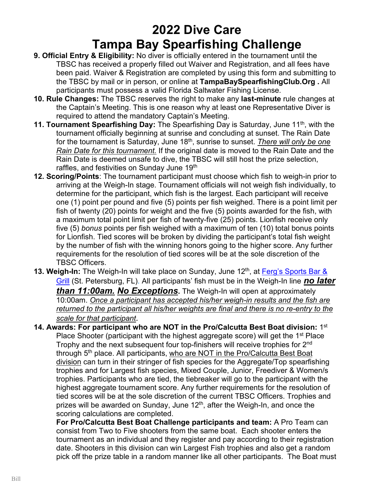- **9. Official Entry & Eligibility:** No diver is officially entered in the tournament until the TBSC has received a properly filled out Waiver and Registration, and all fees have been paid. Waiver & Registration are completed by using this form and submitting to the TBSC by mail or in person, or online at **TampaBaySpearfishingClub.Org .** All participants must possess a valid Florida Saltwater Fishing License.
- **10. Rule Changes:** The TBSC reserves the right to make any **last-minute** rule changes at the Captain's Meeting. This is one reason why at least one Representative Diver is required to attend the mandatory Captain's Meeting.
- **11. Tournament Spearfishing Day:** The Spearfishing Day is Saturday, June 11<sup>th</sup>, with the tournament officially beginning at sunrise and concluding at sunset. The Rain Date for the tournament is Saturday, June 18th, sunrise to sunset. *There will only be one Rain Date for this tournament.* If the original date is moved to the Rain Date and the Rain Date is deemed unsafe to dive, the TBSC will still host the prize selection, raffles, and festivities on Sunday June 19<sup>th</sup>
- **12. Scoring/Points**: The tournament participant must choose which fish to weigh-in prior to arriving at the Weigh-In stage. Tournament officials will not weigh fish individually, to determine for the participant, which fish is the largest. Each participant will receive one (1) point per pound and five (5) points per fish weighed. There is a point limit per fish of twenty (20) points for weight and the five (5) points awarded for the fish, with a maximum total point limit per fish of twenty-five (25) points. Lionfish receive only five (5) *bonus* points per fish weighed with a maximum of ten (10) total bonus points for Lionfish. Tied scores will be broken by dividing the participant's total fish weight by the number of fish with the winning honors going to the higher score. Any further requirements for the resolution of tied scores will be at the sole discretion of the TBSC Officers.
- **13. Weigh-In:** The Weigh-In will take place on Sunday, June 12<sup>th</sup>, at Ferg's Sports Bar & [Grill](http://www.fergssportsbar.com/) (St. Petersburg, FL). All participants' fish must be in the Weigh-In line *no later than 11:00am. No Exceptions***.** The Weigh-In will open at approximately 10:00am. *Once a participant has accepted his/her weigh-in results and the fish are returned to the participant all his/her weights are final and there is no re-entry to the scale for that participant.*
- **14. Awards: For participant who are NOT in the Pro/Calcutta Best Boat division:** 1st Place Shooter (participant with the highest aggregate score) will get the  $1<sup>st</sup>$  Place Trophy and the next subsequent four top-finishers will receive trophies for 2<sup>nd</sup> through 5<sup>th</sup> place. All participants, who are NOT in the Pro/Calcutta Best Boat division can turn in their stringer of fish species for the Aggregate/Top spearfishing trophies and for Largest fish species, Mixed Couple, Junior, Freediver & Women/s trophies. Participants who are tied, the tiebreaker will go to the participant with the highest aggregate tournament score. Any further requirements for the resolution of tied scores will be at the sole discretion of the current TBSC Officers. Trophies and prizes will be awarded on Sunday, June 12<sup>th</sup>, after the Weigh-In, and once the scoring calculations are completed.

**For Pro/Calcutta Best Boat Challenge participants and team:** A Pro Team can consist from Two to Five shooters from the same boat. Each shooter enters the tournament as an individual and they register and pay according to their registration date. Shooters in this division can win Largest Fish trophies and also get a random pick off the prize table in a random manner like all other participants. The Boat must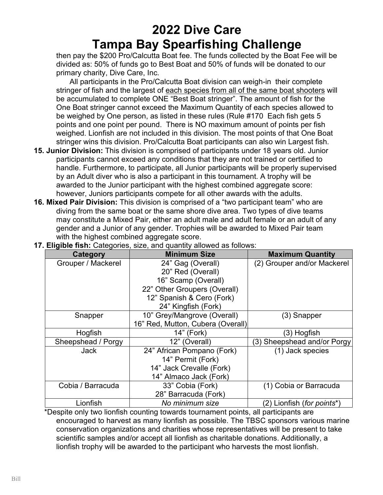then pay the \$200 Pro/Calcutta Boat fee. The funds collected by the Boat Fee will be divided as: 50% of funds go to Best Boat and 50% of funds will be donated to our primary charity, Dive Care, Inc.

 All participants in the Pro/Calcutta Boat division can weigh-in their complete stringer of fish and the largest of each species from all of the same boat shooters will be accumulated to complete ONE "Best Boat stringer". The amount of fish for the One Boat stringer cannot exceed the Maximum Quantity of each species allowed to be weighed by One person, as listed in these rules (Rule #170 Each fish gets 5 points and one point per pound. There is NO maximum amount of points per fish weighed. Lionfish are not included in this division. The most points of that One Boat stringer wins this division. Pro/Calcutta Boat participants can also win Largest fish.

- **15. Junior Division:** This division is comprised of participants under 18 years old. Junior participants cannot exceed any conditions that they are not trained or certified to handle. Furthermore, to participate, all Junior participants will be properly supervised by an Adult diver who is also a participant in this tournament. A trophy will be awarded to the Junior participant with the highest combined aggregate score: however, Juniors participants compete for all other awards with the adults.
- **16. Mixed Pair Division:** This division is comprised of a "two participant team" who are diving from the same boat or the same shore dive area. Two types of dive teams may constitute a Mixed Pair, either an adult male and adult female or an adult of any gender and a Junior of any gender. Trophies will be awarded to Mixed Pair team with the highest combined aggregate score.

| Category           | <b>Minimum Size</b>               | <b>Maximum Quantity</b>             |
|--------------------|-----------------------------------|-------------------------------------|
| Grouper / Mackerel | 24" Gag (Overall)                 | (2) Grouper and/or Mackerel         |
|                    | 20" Red (Overall)                 |                                     |
|                    | 16" Scamp (Overall)               |                                     |
|                    | 22" Other Groupers (Overall)      |                                     |
|                    | 12" Spanish & Cero (Fork)         |                                     |
|                    | 24" Kingfish (Fork)               |                                     |
| Snapper            | 10" Grey/Mangrove (Overall)       | (3) Snapper                         |
|                    | 16" Red, Mutton, Cubera (Overall) |                                     |
| Hogfish            | 14" (Fork)<br>(3) Hogfish         |                                     |
| Sheepshead / Porgy | 12" (Overall)                     | (3) Sheepshead and/or Porgy         |
| <b>Jack</b>        | 24" African Pompano (Fork)        | (1) Jack species                    |
|                    | 14" Permit (Fork)                 |                                     |
|                    | 14" Jack Crevalle (Fork)          |                                     |
|                    | 14" Almaco Jack (Fork)            |                                     |
| Cobia / Barracuda  | 33" Cobia (Fork)                  | (1) Cobia or Barracuda              |
|                    | 28" Barracuda (Fork)              |                                     |
| Lionfish           | No minimum size                   | (2) Lionfish ( <i>for points</i> *) |

**17. Eligible fish:** Categories, size, and quantity allowed as follows:

 \*Despite only two lionfish counting towards tournament points, all participants are encouraged to harvest as many lionfish as possible. The TBSC sponsors various marine conservation organizations and charities whose representatives will be present to take scientific samples and/or accept all lionfish as charitable donations. Additionally, a lionfish trophy will be awarded to the participant who harvests the most lionfish.